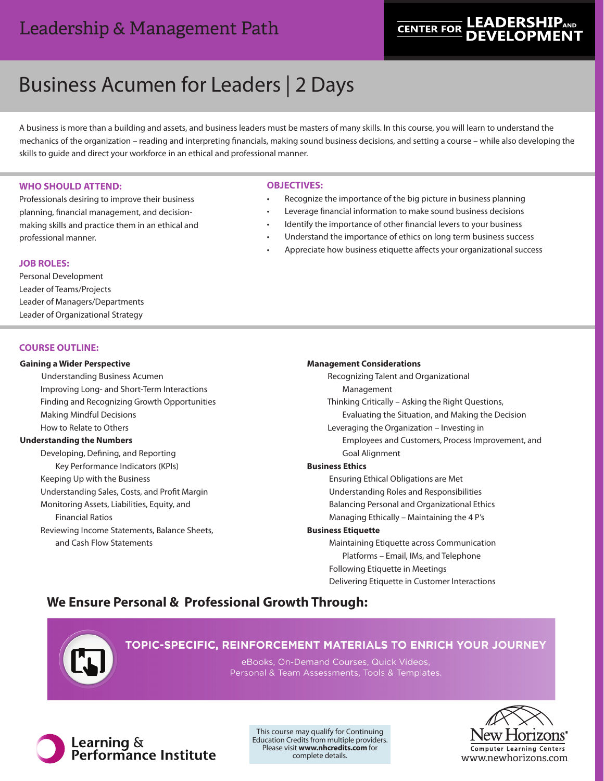# Leadership & Management Path

# **LEADERSHIP**AND **CENTER FOR**

# Business Acumen for Leaders | 2 Days

A business is more than a building and assets, and business leaders must be masters of many skills. In this course, you will learn to understand the mechanics of the organization – reading and interpreting financials, making sound business decisions, and setting a course – while also developing the skills to guide and direct your workforce in an ethical and professional manner.

#### **WHO SHOULD ATTEND:**

Professionals desiring to improve their business planning, financial management, and decisionmaking skills and practice them in an ethical and professional manner.

#### **OBJECTIVES:**

- Recognize the importance of the big picture in business planning
- Leverage financial information to make sound business decisions
- Identify the importance of other financial levers to your business
- Understand the importance of ethics on long term business success
- Appreciate how business etiquette affects your organizational success

#### **JOB ROLES:**

Personal Development Leader of Teams/Projects Leader of Managers/Departments Leader of Organizational Strategy

# **COURSE OUTLINE:**

#### **Gaining a Wider Perspective**

Understanding Business Acumen Improving Long- and Short-Term Interactions Finding and Recognizing Growth Opportunities Making Mindful Decisions How to Relate to Others

# **Understanding the Numbers**

 Developing, Defining, and Reporting Key Performance Indicators (KPIs) Keeping Up with the Business Understanding Sales, Costs, and Profit Margin Monitoring Assets, Liabilities, Equity, and Financial Ratios Reviewing Income Statements, Balance Sheets, and Cash Flow Statements

# **Management Considerations**

 Recognizing Talent and Organizational Management Thinking Critically – Asking the Right Questions, Evaluating the Situation, and Making the Decision Leveraging the Organization – Investing in Employees and Customers, Process Improvement, and Goal Alignment **Business Ethics** Ensuring Ethical Obligations are Met Understanding Roles and Responsibilities Balancing Personal and Organizational Ethics Managing Ethically – Maintaining the 4 P's **Business Etiquette** Maintaining Etiquette across Communication Platforms – Email, IMs, and Telephone Following Etiquette in Meetings Delivering Etiquette in Customer Interactions

# **We Ensure Personal & Professional Growth Through:**



# TOPIC-SPECIFIC, REINFORCEMENT MATERIALS TO ENRICH YOUR JOURNEY

eBooks, On-Demand Courses, Quick Videos, Personal & Team Assessments, Tools & Templates.



This course may qualify for Continuing Education Credits from multiple providers. Please visit **www.nhcredits.com** for complete details.